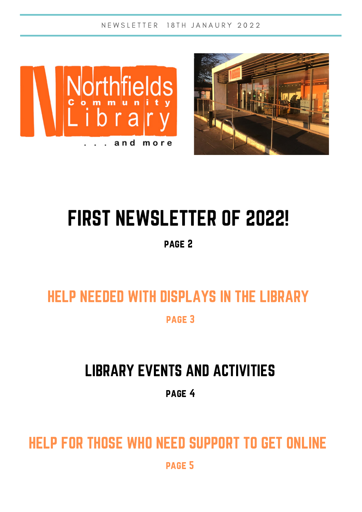N E W S L E T T E R 18 T H J A N A U R Y 2022





# FIRST NEWSLETTER OF 2022!

page 2

# HELP NEEDED WITH DISPLAYS IN THE LIBRARY

page 3

## LIBRARY EVENTS AND ACTIVITIES

page 4

# HELP FOR THOSE WHO NEED SUPPORT TO GET ONLINE

page 5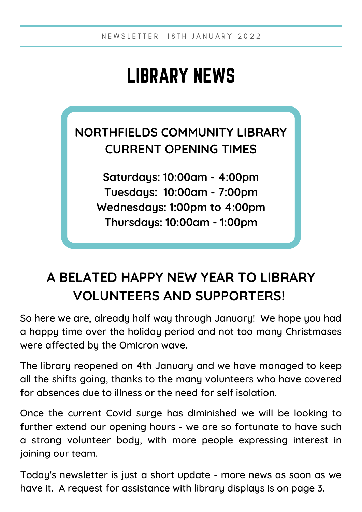## LIBRARY NEWS

### **NORTHFIELDS COMMUNITY LIBRARY CURRENT OPENING TIMES**

**Saturdays: 10:00am - 4:00pm Tuesdays: 10:00am - 7:00pm Wednesdays: 1:00pm to 4:00pm Thursdays: 10:00am - 1:00pm**

## **A BELATED HAPPY NEW YEAR TO LIBRARY VOLUNTEERS AND SUPPORTERS!**

So here we are, already half way through January! We hope you had a happy time over the holiday period and not too many Christmases were affected by the Omicron wave.

The library reopened on 4th January and we have managed to keep all the shifts going, thanks to the many volunteers who have covered for absences due to illness or the need for self isolation.

Once the current Covid surge has diminished we will be looking to further extend our opening hours - we are so fortunate to have such a strong volunteer body, with more people expressing interest in joining our team.

Today's newsletter is just a short update - more news as soon as we have it. A request for assistance with library displays is on page 3.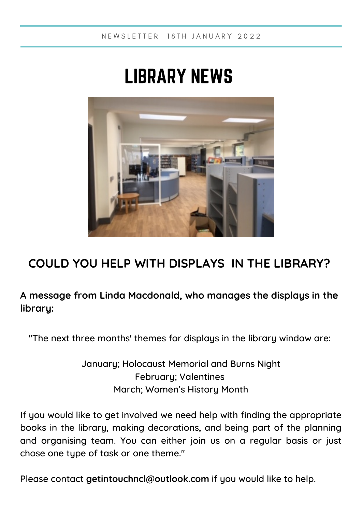## LIBRARY NEWS



### **COULD YOU HELP WITH DISPLAYS IN THE LIBRARY?**

#### **A message from Linda Macdonald, who manages the displays in the library:**

"The next three months' themes for displays in the library window are:

January; Holocaust Memorial and Burns Night February; Valentines March; Women's History Month

If you would like to get involved we need help with finding the appropriate books in the library, making decorations, and being part of the planning and organising team. You can either join us on a regular basis or just chose one type of task or one theme."

Please contact **[getintouchncl@outlook.com](mailto:getintouchncl@outlook.com)** if you would like to help.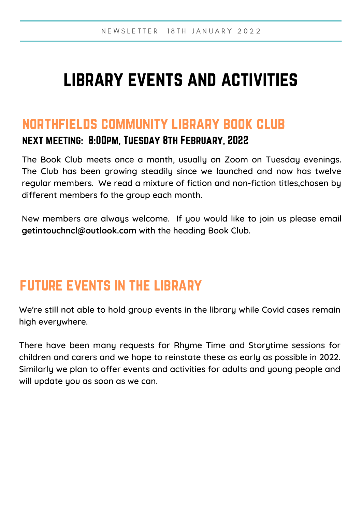## library events and activities

### northfields community library book club

#### next meeting: 8:00pm, Tuesday 8th February, 2022

The Book Club meets once a month, usually on Zoom on Tuesday evenings. The Club has been growing steadily since we launched and now has twelve regular members. We read a mixture of fiction and non-fiction titles,chosen by different members fo the group each month.

New members are always welcome. If you would like to join us please email **getintouchncl@outlook.com** with the heading Book Club.

### future events in the library

We're still not able to hold group events in the library while Covid cases remain high everywhere.

There have been many requests for Rhyme Time and Storytime sessions for children and carers and we hope to reinstate these as early as possible in 2022. Similarly we plan to offer events and activities for adults and young people and will update you as soon as we can.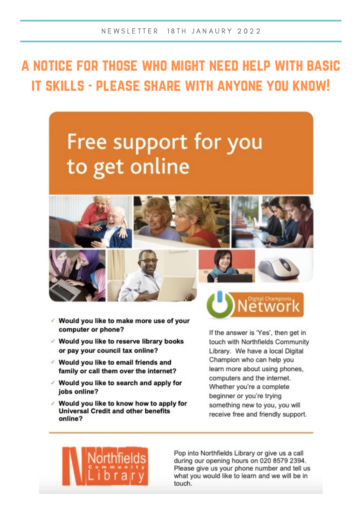## A NOTICE FOR THOSE WHO MIGHT NEED HELP WITH BASIC **IT SKILLS - PLEASE SHARE WITH ANYONE YOU KNOW!**

## Free support for you to get online



- √ Would you like to make more use of your computer or phone?
- √ Would you like to reserve library books or pay your council tax online?
- √ Would you like to email friends and family or call them over the internet?
- √ Would you like to search and apply for jobs online?
- √ Would you like to know how to apply for **Universal Credit and other benefits** online?



If the answer is 'Yes', then get in touch with Northfields Community Library. We have a local Digital Champion who can help you learn more about using phones, computers and the internet. Whether you're a complete beginner or you're trying something new to you, you will receive free and friendly support.



Pop into Northfields Library or give us a call during our opening hours on 020 8579 2394. Please give us your phone number and tell us what you would like to learn and we will be in touch.